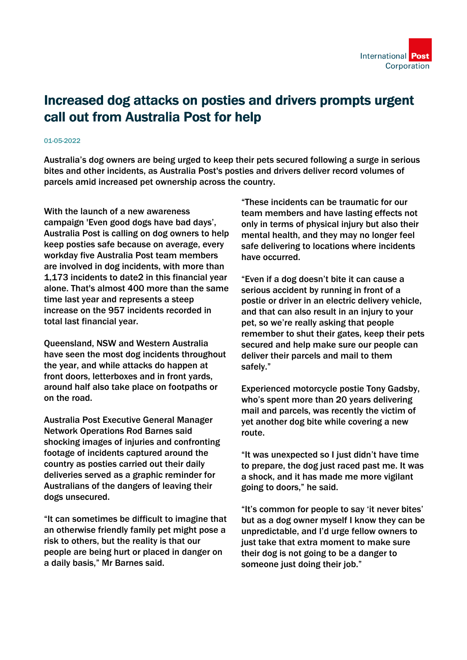## Increased dog attacks on posties and drivers prompts urgent call out from Australia Post for help

## 01-05-2022

Australia's dog owners are being urged to keep their pets secured following a surge in serious bites and other incidents, as Australia Post's posties and drivers deliver record volumes of parcels amid increased pet ownership across the country.

With the launch of a new awareness campaign 'Even good dogs have bad days', Australia Post is calling on dog owners to help keep posties safe because on average, every workday five Australia Post team members are involved in dog incidents, with more than 1,173 incidents to date2 in this financial year alone. That's almost 400 more than the same time last year and represents a steep increase on the 957 incidents recorded in total last financial year.

Queensland, NSW and Western Australia have seen the most dog incidents throughout the year, and while attacks do happen at front doors, letterboxes and in front yards, around half also take place on footpaths or on the road.

Australia Post Executive General Manager Network Operations Rod Barnes said shocking images of injuries and confronting footage of incidents captured around the country as posties carried out their daily deliveries served as a graphic reminder for Australians of the dangers of leaving their dogs unsecured.

"It can sometimes be difficult to imagine that an otherwise friendly family pet might pose a risk to others, but the reality is that our people are being hurt or placed in danger on a daily basis," Mr Barnes said.

"These incidents can be traumatic for our team members and have lasting effects not only in terms of physical injury but also their mental health, and they may no longer feel safe delivering to locations where incidents have occurred.

"Even if a dog doesn't bite it can cause a serious accident by running in front of a postie or driver in an electric delivery vehicle, and that can also result in an injury to your pet, so we're really asking that people remember to shut their gates, keep their pets secured and help make sure our people can deliver their parcels and mail to them safely."

Experienced motorcycle postie Tony Gadsby, who's spent more than 20 years delivering mail and parcels, was recently the victim of yet another dog bite while covering a new route.

"It was unexpected so I just didn't have time to prepare, the dog just raced past me. It was a shock, and it has made me more vigilant going to doors," he said.

"It's common for people to say 'it never bites' but as a dog owner myself I know they can be unpredictable, and I'd urge fellow owners to just take that extra moment to make sure their dog is not going to be a danger to someone just doing their job."